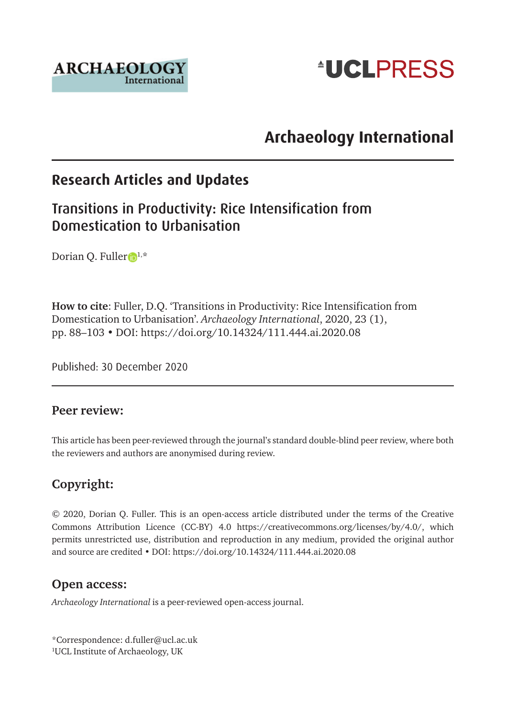



# **Archaeology International**

# **Research Articles and Updates**

## Transitions in Productivity: Rice Intensification from Domestication to Urbanisation

Dorian Q. Fuller  $1, *$  $1, *$ 

**How to cite**: Fuller, D.Q. 'Transitions in Productivity: Rice Intensification from Domestication to Urbanisation'. *Archaeology International*, 2020, 23 (1), pp. 88–103 • DOI: <https://doi.org/10.14324/111.444.ai.2020.08>

Published: 30 December 2020

#### **Peer review:**

This article has been peer-reviewed through the journal's standard double-blind peer review, where both the reviewers and authors are anonymised during review.

#### **Copyright:**

© 2020, Dorian Q. Fuller. This is an open-access article distributed under the terms of the Creative Commons Attribution Licence (CC-BY) 4.0 <https://creativecommons.org/licenses/by/4.0/>, which permits unrestricted use, distribution and reproduction in any medium, provided the original author and source are credited • DOI:<https://doi.org/10.14324/111.444.ai.2020.08>

#### **Open access:**

*Archaeology International* is a peer-reviewed open-access journal.

\*Correspondence: [d.fuller@ucl.ac.](mailto:d.fuller@ucl.ac)uk 1 UCL Institute of Archaeology, UK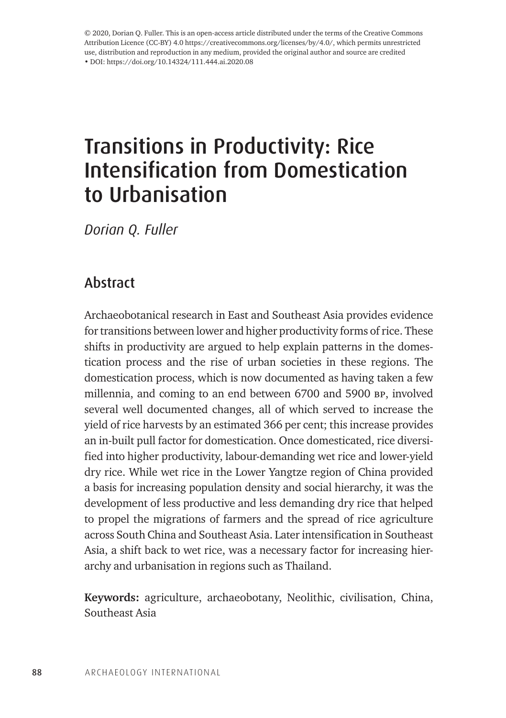© 2020, Dorian Q. Fuller. This is an open-access article distributed under the terms of the Creative Commons Attribution Licence (CC-BY) 4.0 <https://creativecommons.org/licenses/by/4.0/>, which permits unrestricted use, distribution and reproduction in any medium, provided the original author and source are credited • DOI: https://doi.org/10.14324/111.444.ai.2020.08

# Transitions in Productivity: Rice Intensification from Domestication to Urbanisation

*Dorian Q. Fuller* 

## Abstract

Archaeobotanical research in East and Southeast Asia provides evidence for transitions between lower and higher productivity forms of rice. These shifts in productivity are argued to help explain patterns in the domestication process and the rise of urban societies in these regions. The domestication process, which is now documented as having taken a few millennia, and coming to an end between 6700 and 5900 bp, involved several well documented changes, all of which served to increase the yield of rice harvests by an estimated 366 per cent; this increase provides an in-built pull factor for domestication. Once domesticated, rice diversified into higher productivity, labour-demanding wet rice and lower-yield dry rice. While wet rice in the Lower Yangtze region of China provided a basis for increasing population density and social hierarchy, it was the development of less productive and less demanding dry rice that helped to propel the migrations of farmers and the spread of rice agriculture across South China and Southeast Asia. Later intensification in Southeast Asia, a shift back to wet rice, was a necessary factor for increasing hierarchy and urbanisation in regions such as Thailand.

**Keywords:** agriculture, archaeobotany, Neolithic, civilisation, China, Southeast Asia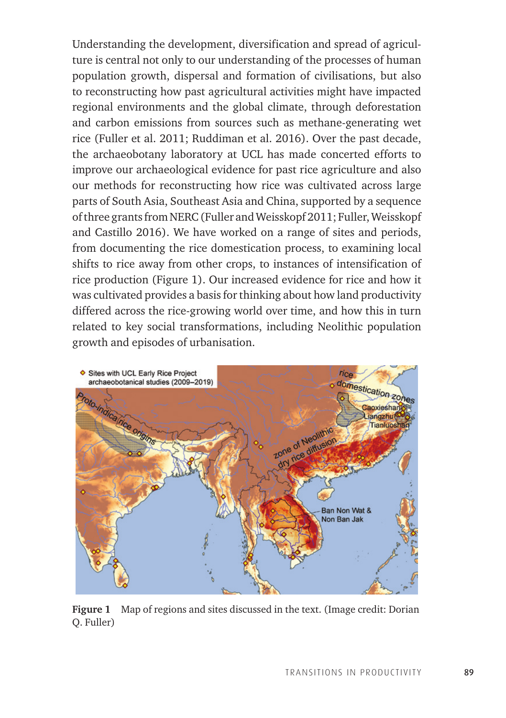Understanding the development, diversification and spread of agriculture is central not only to our understanding of the processes of human population growth, dispersal and formation of civilisations, but also to reconstructing how past agricultural activities might have impacted regional environments and the global climate, through deforestation and carbon emissions from sources such as methane-generating wet rice (Fuller et al. 2011; Ruddiman et al. 2016). Over the past decade, the archaeobotany laboratory at UCL has made concerted efforts to improve our archaeological evidence for past rice agriculture and also our methods for reconstructing how rice was cultivated across large parts of South Asia, Southeast Asia and China, supported by a sequence of three grants from NERC (Fuller and Weisskopf 2011; Fuller, Weisskopf and Castillo 2016). We have worked on a range of sites and periods, from documenting the rice domestication process, to examining local shifts to rice away from other crops, to instances of intensification of rice production (Figure 1). Our increased evidence for rice and how it was cultivated provides a basis for thinking about how land productivity differed across the rice-growing world over time, and how this in turn related to key social transformations, including Neolithic population growth and episodes of urbanisation.



**Figure 1** Map of regions and sites discussed in the text. (Image credit: Dorian Q. Fuller)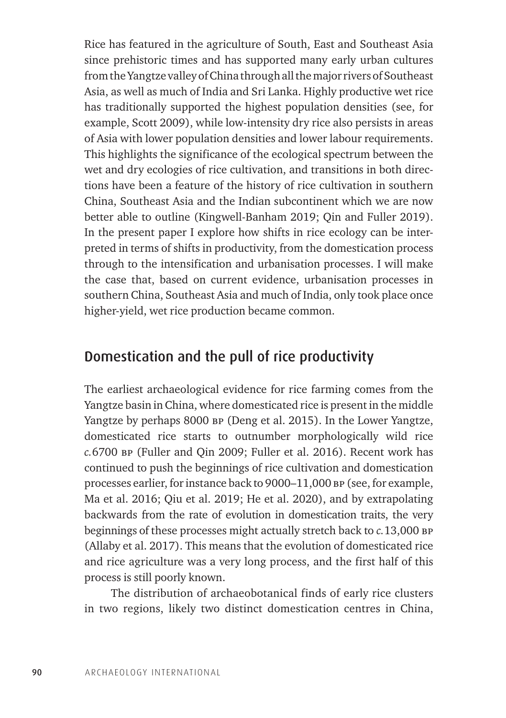Rice has featured in the agriculture of South, East and Southeast Asia since prehistoric times and has supported many early urban cultures from the Yangtze valley of China through all the major rivers of Southeast Asia, as well as much of India and Sri Lanka. Highly productive wet rice has traditionally supported the highest population densities (see, for example, Scott 2009), while low-intensity dry rice also persists in areas of Asia with lower population densities and lower labour requirements. This highlights the significance of the ecological spectrum between the wet and dry ecologies of rice cultivation, and transitions in both directions have been a feature of the history of rice cultivation in southern China, Southeast Asia and the Indian subcontinent which we are now better able to outline (Kingwell-Banham 2019; Qin and Fuller 2019). In the present paper I explore how shifts in rice ecology can be interpreted in terms of shifts in productivity, from the domestication process through to the intensification and urbanisation processes. I will make the case that, based on current evidence, urbanisation processes in southern China, Southeast Asia and much of India, only took place once higher-yield, wet rice production became common.

#### Domestication and the pull of rice productivity

The earliest archaeological evidence for rice farming comes from the Yangtze basin in China, where domesticated rice is present in the middle Yangtze by perhaps 8000 bp (Deng et al. 2015). In the Lower Yangtze, domesticated rice starts to outnumber morphologically wild rice *c.*6700 bp (Fuller and Qin 2009; Fuller et al. 2016). Recent work has continued to push the beginnings of rice cultivation and domestication processes earlier, for instance back to 9000–11,000 bp (see, for example, Ma et al. 2016; Qiu et al. 2019; He et al. 2020), and by extrapolating backwards from the rate of evolution in domestication traits, the very beginnings of these processes might actually stretch back to *c.*13,000 bp (Allaby et al. 2017). This means that the evolution of domesticated rice and rice agriculture was a very long process, and the first half of this process is still poorly known.

The distribution of archaeobotanical finds of early rice clusters in two regions, likely two distinct domestication centres in China,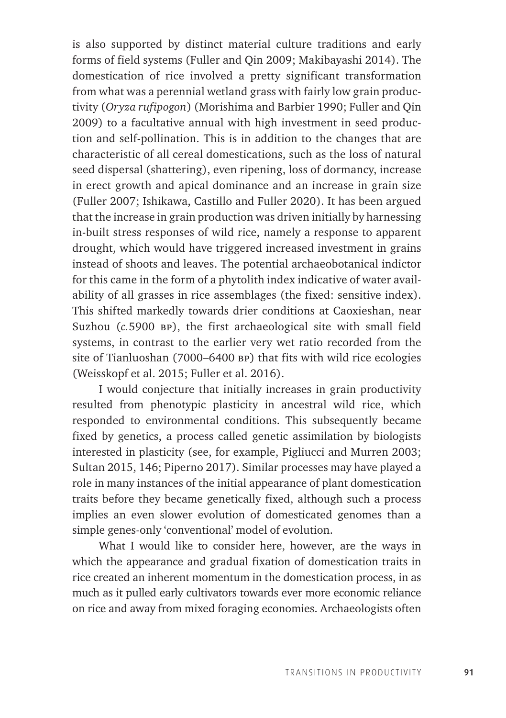is also supported by distinct material culture traditions and early forms of field systems (Fuller and Qin 2009; Makibayashi 2014). The domestication of rice involved a pretty significant transformation from what was a perennial wetland grass with fairly low grain productivity (*Oryza rufipogon*) (Morishima and Barbier 1990; Fuller and Qin 2009) to a facultative annual with high investment in seed production and self-pollination. This is in addition to the changes that are characteristic of all cereal domestications, such as the loss of natural seed dispersal (shattering), even ripening, loss of dormancy, increase in erect growth and apical dominance and an increase in grain size (Fuller 2007; Ishikawa, Castillo and Fuller 2020). It has been argued that the increase in grain production was driven initially by harnessing in-built stress responses of wild rice, namely a response to apparent drought, which would have triggered increased investment in grains instead of shoots and leaves. The potential archaeobotanical indictor for this came in the form of a phytolith index indicative of water availability of all grasses in rice assemblages (the fixed: sensitive index). This shifted markedly towards drier conditions at Caoxieshan, near Suzhou (*c.*5900 bp), the first archaeological site with small field systems, in contrast to the earlier very wet ratio recorded from the site of Tianluoshan (7000–6400 bp) that fits with wild rice ecologies (Weisskopf et al. 2015; Fuller et al. 2016).

I would conjecture that initially increases in grain productivity resulted from phenotypic plasticity in ancestral wild rice, which responded to environmental conditions. This subsequently became fixed by genetics, a process called genetic assimilation by biologists interested in plasticity (see, for example, Pigliucci and Murren 2003; Sultan 2015, 146; Piperno 2017). Similar processes may have played a role in many instances of the initial appearance of plant domestication traits before they became genetically fixed, although such a process implies an even slower evolution of domesticated genomes than a simple genes-only 'conventional' model of evolution.

What I would like to consider here, however, are the ways in which the appearance and gradual fixation of domestication traits in rice created an inherent momentum in the domestication process, in as much as it pulled early cultivators towards ever more economic reliance on rice and away from mixed foraging economies. Archaeologists often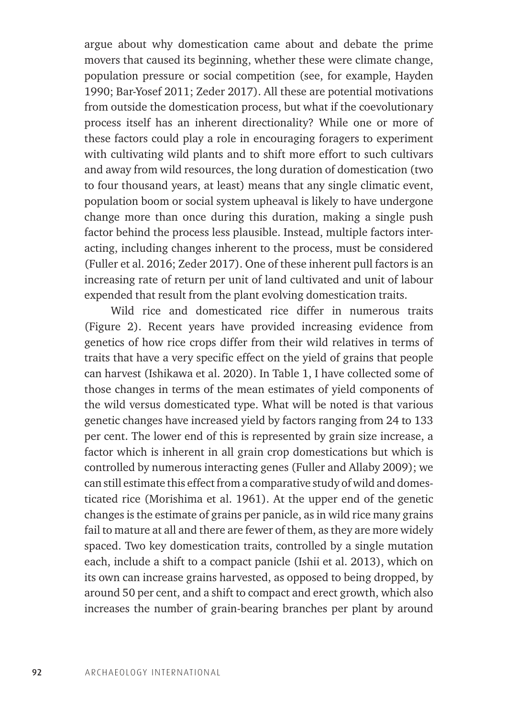argue about why domestication came about and debate the prime movers that caused its beginning, whether these were climate change, population pressure or social competition (see, for example, Hayden 1990; Bar-Yosef 2011; Zeder 2017). All these are potential motivations from outside the domestication process, but what if the coevolutionary process itself has an inherent directionality? While one or more of these factors could play a role in encouraging foragers to experiment with cultivating wild plants and to shift more effort to such cultivars and away from wild resources, the long duration of domestication (two to four thousand years, at least) means that any single climatic event, population boom or social system upheaval is likely to have undergone change more than once during this duration, making a single push factor behind the process less plausible. Instead, multiple factors interacting, including changes inherent to the process, must be considered (Fuller et al. 2016; Zeder 2017). One of these inherent pull factors is an increasing rate of return per unit of land cultivated and unit of labour expended that result from the plant evolving domestication traits.

Wild rice and domesticated rice differ in numerous traits (Figure 2). Recent years have provided increasing evidence from genetics of how rice crops differ from their wild relatives in terms of traits that have a very specific effect on the yield of grains that people can harvest (Ishikawa et al. 2020). In Table 1, I have collected some of those changes in terms of the mean estimates of yield components of the wild versus domesticated type. What will be noted is that various genetic changes have increased yield by factors ranging from 24 to 133 per cent. The lower end of this is represented by grain size increase, a factor which is inherent in all grain crop domestications but which is controlled by numerous interacting genes (Fuller and Allaby 2009); we can still estimate this effect from a comparative study of wild and domesticated rice (Morishima et al. 1961). At the upper end of the genetic changes is the estimate of grains per panicle, as in wild rice many grains fail to mature at all and there are fewer of them, as they are more widely spaced. Two key domestication traits, controlled by a single mutation each, include a shift to a compact panicle (Ishii et al. 2013), which on its own can increase grains harvested, as opposed to being dropped, by around 50 per cent, and a shift to compact and erect growth, which also increases the number of grain-bearing branches per plant by around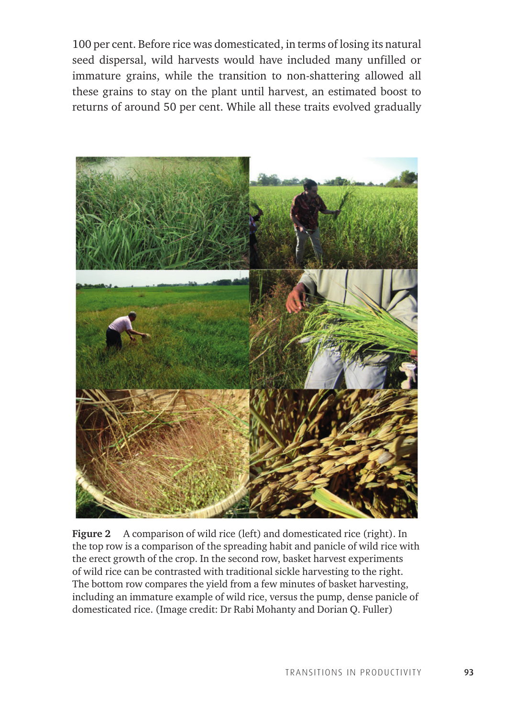100 per cent. Before rice was domesticated, in terms of losing its natural seed dispersal, wild harvests would have included many unfilled or immature grains, while the transition to non-shattering allowed all these grains to stay on the plant until harvest, an estimated boost to returns of around 50 per cent. While all these traits evolved gradually



**Figure 2** A comparison of wild rice (left) and domesticated rice (right). In the top row is a comparison of the spreading habit and panicle of wild rice with the erect growth of the crop. In the second row, basket harvest experiments of wild rice can be contrasted with traditional sickle harvesting to the right. The bottom row compares the yield from a few minutes of basket harvesting, including an immature example of wild rice, versus the pump, dense panicle of domesticated rice. (Image credit: Dr Rabi Mohanty and Dorian Q. Fuller)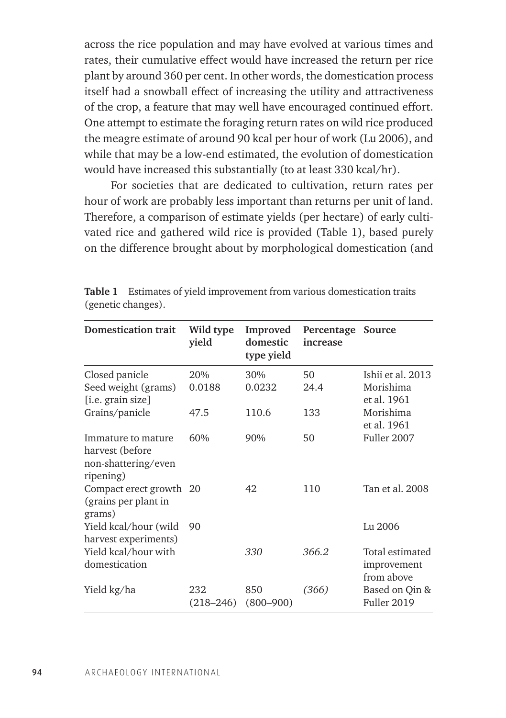across the rice population and may have evolved at various times and rates, their cumulative effect would have increased the return per rice plant by around 360 per cent. In other words, the domestication process itself had a snowball effect of increasing the utility and attractiveness of the crop, a feature that may well have encouraged continued effort. One attempt to estimate the foraging return rates on wild rice produced the meagre estimate of around 90 kcal per hour of work (Lu 2006), and while that may be a low-end estimated, the evolution of domestication would have increased this substantially (to at least 330 kcal/hr).

For societies that are dedicated to cultivation, return rates per hour of work are probably less important than returns per unit of land. Therefore, a comparison of estimate yields (per hectare) of early cultivated rice and gathered wild rice is provided (Table 1), based purely on the difference brought about by morphological domestication (and

| <b>Domestication trait</b>                                                | Wild type<br>vield   | Improved<br>domestic<br>type yield | Percentage<br>increase | Source                                        |
|---------------------------------------------------------------------------|----------------------|------------------------------------|------------------------|-----------------------------------------------|
| Closed panicle<br>Seed weight (grams)<br>[i.e. grain size]                | 20%<br>0.0188        | 30%<br>0.0232                      | 50<br>24.4             | Ishii et al. 2013<br>Morishima<br>et al. 1961 |
| Grains/panicle                                                            | 47.5                 | 110.6                              | 133                    | Morishima<br>et al. 1961                      |
| Immature to mature<br>harvest (before<br>non-shattering/even<br>ripening) | 60%                  | 90%                                | 50                     | Fuller 2007                                   |
| Compact erect growth 20<br>(grains per plant in<br>grams)                 |                      | 42                                 | 110                    | Tan et al. 2008                               |
| Yield kcal/hour (wild<br>harvest experiments)                             | 90                   |                                    |                        | Lu 2006                                       |
| Yield kcal/hour with<br>domestication                                     |                      | 330                                | 366.2                  | Total estimated<br>improvement<br>from above  |
| Yield kg/ha                                                               | 232<br>$(218 - 246)$ | 850<br>$(800 - 900)$               | (366)                  | Based on Qin &<br>Fuller 2019                 |

**Table 1** Estimates of yield improvement from various domestication traits (genetic changes).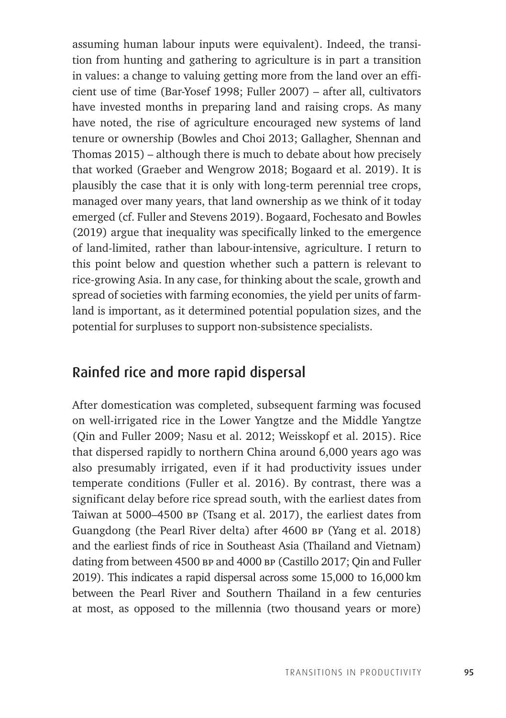assuming human labour inputs were equivalent). Indeed, the transition from hunting and gathering to agriculture is in part a transition in values: a change to valuing getting more from the land over an efficient use of time (Bar-Yosef 1998; Fuller 2007) – after all, cultivators have invested months in preparing land and raising crops. As many have noted, the rise of agriculture encouraged new systems of land tenure or ownership (Bowles and Choi 2013; Gallagher, Shennan and Thomas 2015) – although there is much to debate about how precisely that worked (Graeber and Wengrow 2018; Bogaard et al. 2019). It is plausibly the case that it is only with long-term perennial tree crops, managed over many years, that land ownership as we think of it today emerged (cf. Fuller and Stevens 2019). Bogaard, Fochesato and Bowles (2019) argue that inequality was specifically linked to the emergence of land-limited, rather than labour-intensive, agriculture. I return to this point below and question whether such a pattern is relevant to rice-growing Asia. In any case, for thinking about the scale, growth and spread of societies with farming economies, the yield per units of farmland is important, as it determined potential population sizes, and the potential for surpluses to support non-subsistence specialists.

#### Rainfed rice and more rapid dispersal

After domestication was completed, subsequent farming was focused on well-irrigated rice in the Lower Yangtze and the Middle Yangtze (Qin and Fuller 2009; Nasu et al. 2012; Weisskopf et al. 2015). Rice that dispersed rapidly to northern China around 6,000 years ago was also presumably irrigated, even if it had productivity issues under temperate conditions (Fuller et al. 2016). By contrast, there was a significant delay before rice spread south, with the earliest dates from Taiwan at 5000–4500 bp (Tsang et al. 2017), the earliest dates from Guangdong (the Pearl River delta) after 4600 bp (Yang et al. 2018) and the earliest finds of rice in Southeast Asia (Thailand and Vietnam) dating from between 4500 bp and 4000 bp (Castillo 2017; Qin and Fuller 2019). This indicates a rapid dispersal across some 15,000 to 16,000 km between the Pearl River and Southern Thailand in a few centuries at most, as opposed to the millennia (two thousand years or more)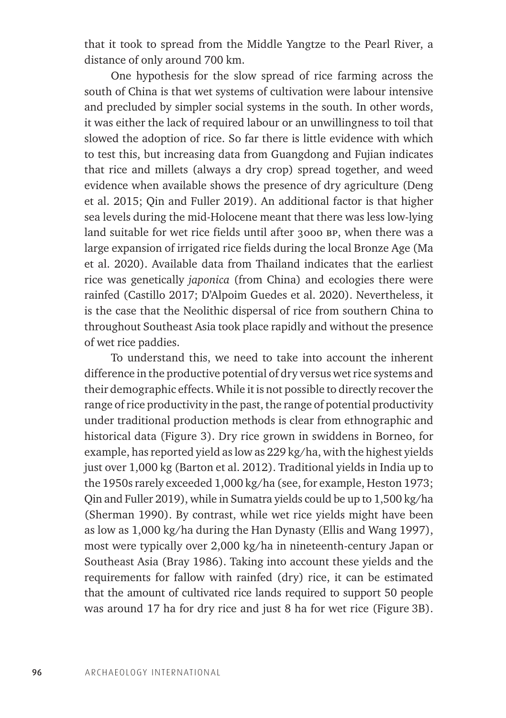that it took to spread from the Middle Yangtze to the Pearl River, a distance of only around 700 km.

One hypothesis for the slow spread of rice farming across the south of China is that wet systems of cultivation were labour intensive and precluded by simpler social systems in the south. In other words, it was either the lack of required labour or an unwillingness to toil that slowed the adoption of rice. So far there is little evidence with which to test this, but increasing data from Guangdong and Fujian indicates that rice and millets (always a dry crop) spread together, and weed evidence when available shows the presence of dry agriculture (Deng et al. 2015; Qin and Fuller 2019). An additional factor is that higher sea levels during the mid-Holocene meant that there was less low-lying land suitable for wet rice fields until after 3000 bp, when there was a large expansion of irrigated rice fields during the local Bronze Age (Ma et al. 2020). Available data from Thailand indicates that the earliest rice was genetically *japonica* (from China) and ecologies there were rainfed (Castillo 2017; D'Alpoim Guedes et al. 2020). Nevertheless, it is the case that the Neolithic dispersal of rice from southern China to throughout Southeast Asia took place rapidly and without the presence of wet rice paddies.

To understand this, we need to take into account the inherent difference in the productive potential of dry versus wet rice systems and their demographic effects. While it is not possible to directly recover the range of rice productivity in the past, the range of potential productivity under traditional production methods is clear from ethnographic and historical data (Figure 3). Dry rice grown in swiddens in Borneo, for example, has reported yield as low as 229 kg/ha, with the highest yields just over 1,000 kg (Barton et al. 2012). Traditional yields in India up to the 1950s rarely exceeded 1,000 kg/ha (see, for example, Heston 1973; Qin and Fuller 2019), while in Sumatra yields could be up to 1,500 kg/ha (Sherman 1990). By contrast, while wet rice yields might have been as low as 1,000 kg/ha during the Han Dynasty (Ellis and Wang 1997), most were typically over 2,000 kg/ha in nineteenth-century Japan or Southeast Asia (Bray 1986). Taking into account these yields and the requirements for fallow with rainfed (dry) rice, it can be estimated that the amount of cultivated rice lands required to support 50 people was around 17 ha for dry rice and just 8 ha for wet rice (Figure 3B).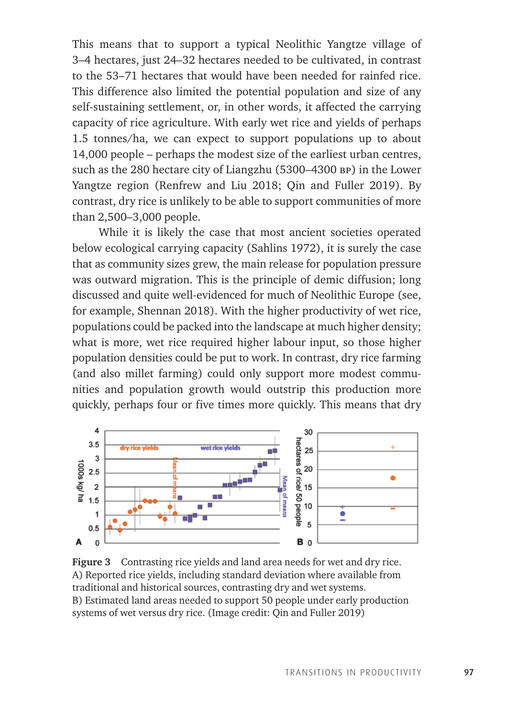This means that to support a typical Neolithic Yangtze village of 3–4 hectares, just 24–32 hectares needed to be cultivated, in contrast to the 53–71 hectares that would have been needed for rainfed rice. This difference also limited the potential population and size of any self-sustaining settlement, or, in other words, it affected the carrying capacity of rice agriculture. With early wet rice and yields of perhaps 1.5 tonnes/ha, we can expect to support populations up to about 14,000 people – perhaps the modest size of the earliest urban centres, such as the 280 hectare city of Liangzhu (5300–4300 bp) in the Lower Yangtze region (Renfrew and Liu 2018; Qin and Fuller 2019). By contrast, dry rice is unlikely to be able to support communities of more than 2,500–3,000 people.

While it is likely the case that most ancient societies operated below ecological carrying capacity (Sahlins 1972), it is surely the case that as community sizes grew, the main release for population pressure was outward migration. This is the principle of demic diffusion; long discussed and quite well-evidenced for much of Neolithic Europe (see, for example, Shennan 2018). With the higher productivity of wet rice, populations could be packed into the landscape at much higher density; what is more, wet rice required higher labour input, so those higher population densities could be put to work. In contrast, dry rice farming (and also millet farming) could only support more modest communities and population growth would outstrip this production more quickly, perhaps four or five times more quickly. This means that dry



**Figure 3** Contrasting rice yields and land area needs for wet and dry rice. A) Reported rice yields, including standard deviation where available from traditional and historical sources, contrasting dry and wet systems. B) Estimated land areas needed to support 50 people under early production systems of wet versus dry rice. (Image credit: Qin and Fuller 2019)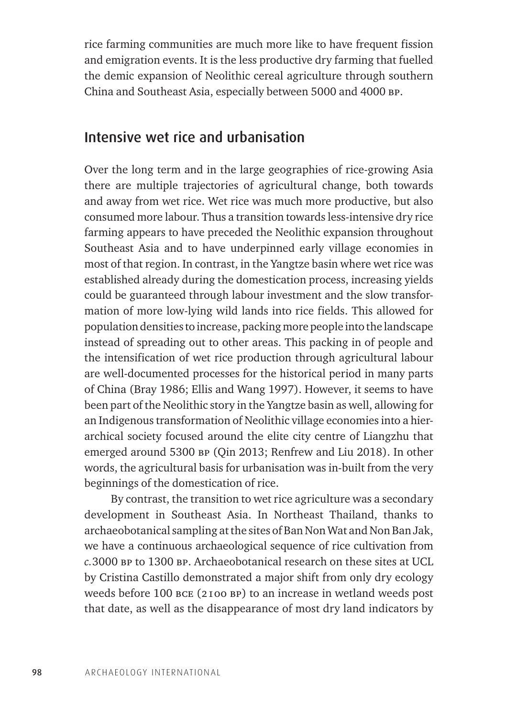rice farming communities are much more like to have frequent fission and emigration events. It is the less productive dry farming that fuelled the demic expansion of Neolithic cereal agriculture through southern China and Southeast Asia, especially between 5000 and 4000 bp.

#### Intensive wet rice and urbanisation

Over the long term and in the large geographies of rice-growing Asia there are multiple trajectories of agricultural change, both towards and away from wet rice. Wet rice was much more productive, but also consumed more labour. Thus a transition towards less-intensive dry rice farming appears to have preceded the Neolithic expansion throughout Southeast Asia and to have underpinned early village economies in most of that region. In contrast, in the Yangtze basin where wet rice was established already during the domestication process, increasing yields could be guaranteed through labour investment and the slow transformation of more low-lying wild lands into rice fields. This allowed for population densities to increase, packing more people into the landscape instead of spreading out to other areas. This packing in of people and the intensification of wet rice production through agricultural labour are well-documented processes for the historical period in many parts of China (Bray 1986; Ellis and Wang 1997). However, it seems to have been part of the Neolithic story in the Yangtze basin as well, allowing for an Indigenous transformation of Neolithic village economies into a hierarchical society focused around the elite city centre of Liangzhu that emerged around 5300 bp (Qin 2013; Renfrew and Liu 2018). In other words, the agricultural basis for urbanisation was in-built from the very beginnings of the domestication of rice.

By contrast, the transition to wet rice agriculture was a secondary development in Southeast Asia. In Northeast Thailand, thanks to archaeobotanical sampling at the sites of Ban Non Wat and Non Ban Jak, we have a continuous archaeological sequence of rice cultivation from *c.*3000 bp to 1300 bp. Archaeobotanical research on these sites at UCL by Cristina Castillo demonstrated a major shift from only dry ecology weeds before 100 bce (2100 bp) to an increase in wetland weeds post that date, as well as the disappearance of most dry land indicators by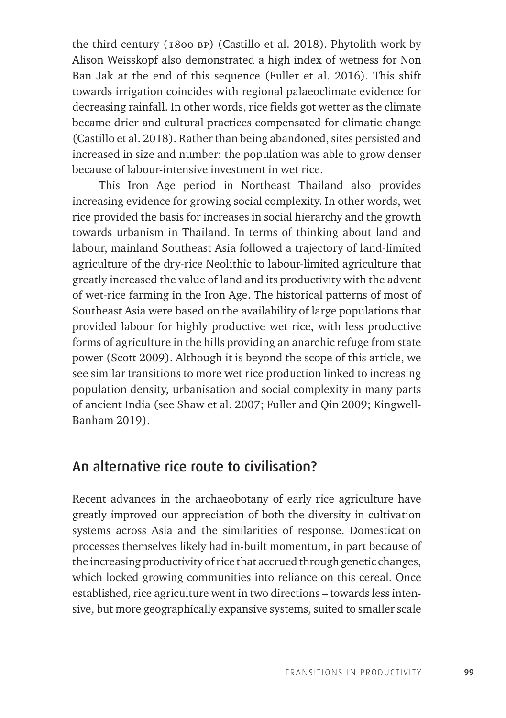the third century (1800 bp) (Castillo et al. 2018). Phytolith work by Alison Weisskopf also demonstrated a high index of wetness for Non Ban Jak at the end of this sequence (Fuller et al. 2016). This shift towards irrigation coincides with regional palaeoclimate evidence for decreasing rainfall. In other words, rice fields got wetter as the climate became drier and cultural practices compensated for climatic change (Castillo et al. 2018). Rather than being abandoned, sites persisted and increased in size and number: the population was able to grow denser because of labour-intensive investment in wet rice.

This Iron Age period in Northeast Thailand also provides increasing evidence for growing social complexity. In other words, wet rice provided the basis for increases in social hierarchy and the growth towards urbanism in Thailand. In terms of thinking about land and labour, mainland Southeast Asia followed a trajectory of land-limited agriculture of the dry-rice Neolithic to labour-limited agriculture that greatly increased the value of land and its productivity with the advent of wet-rice farming in the Iron Age. The historical patterns of most of Southeast Asia were based on the availability of large populations that provided labour for highly productive wet rice, with less productive forms of agriculture in the hills providing an anarchic refuge from state power (Scott 2009). Although it is beyond the scope of this article, we see similar transitions to more wet rice production linked to increasing population density, urbanisation and social complexity in many parts of ancient India (see Shaw et al. 2007; Fuller and Qin 2009; Kingwell-Banham 2019).

## An alternative rice route to civilisation?

Recent advances in the archaeobotany of early rice agriculture have greatly improved our appreciation of both the diversity in cultivation systems across Asia and the similarities of response. Domestication processes themselves likely had in-built momentum, in part because of the increasing productivity of rice that accrued through genetic changes, which locked growing communities into reliance on this cereal. Once established, rice agriculture went in two directions – towards less intensive, but more geographically expansive systems, suited to smaller scale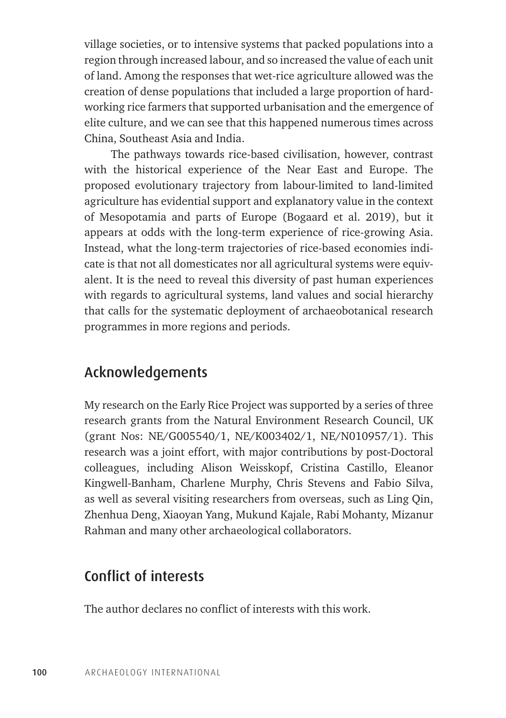village societies, or to intensive systems that packed populations into a region through increased labour, and so increased the value of each unit of land. Among the responses that wet-rice agriculture allowed was the creation of dense populations that included a large proportion of hardworking rice farmers that supported urbanisation and the emergence of elite culture, and we can see that this happened numerous times across China, Southeast Asia and India.

The pathways towards rice-based civilisation, however, contrast with the historical experience of the Near East and Europe. The proposed evolutionary trajectory from labour-limited to land-limited agriculture has evidential support and explanatory value in the context of Mesopotamia and parts of Europe (Bogaard et al. 2019), but it appears at odds with the long-term experience of rice-growing Asia. Instead, what the long-term trajectories of rice-based economies indicate is that not all domesticates nor all agricultural systems were equivalent. It is the need to reveal this diversity of past human experiences with regards to agricultural systems, land values and social hierarchy that calls for the systematic deployment of archaeobotanical research programmes in more regions and periods.

### Acknowledgements

My research on the Early Rice Project was supported by a series of three research grants from the Natural Environment Research Council, UK (grant Nos: NE/G005540/1, NE/K003402/1, NE/N010957/1). This research was a joint effort, with major contributions by post-Doctoral colleagues, including Alison Weisskopf, Cristina Castillo, Eleanor Kingwell-Banham, Charlene Murphy, Chris Stevens and Fabio Silva, as well as several visiting researchers from overseas, such as Ling Qin, Zhenhua Deng, Xiaoyan Yang, Mukund Kajale, Rabi Mohanty, Mizanur Rahman and many other archaeological collaborators.

# Conflict of interests

The author declares no conflict of interests with this work.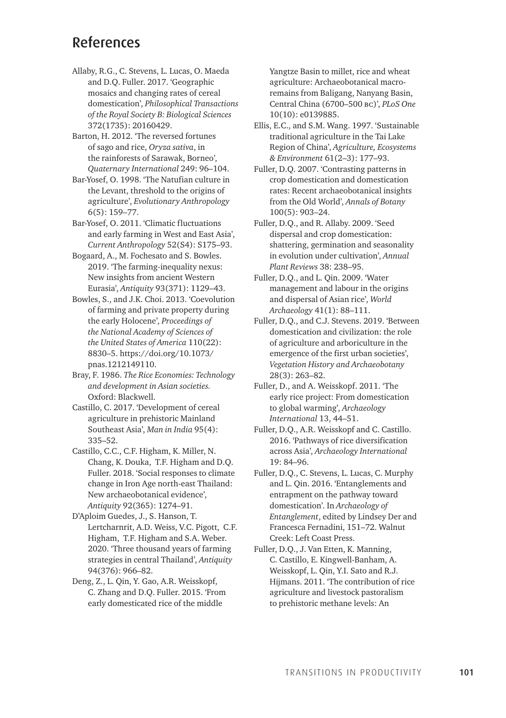#### References

- Allaby, R.G., C. Stevens, L. Lucas, O. Maeda and D.Q. Fuller. 2017. 'Geographic mosaics and changing rates of cereal domestication', *Philosophical Transactions of the Royal Society B: Biological Sciences* 372(1735): 20160429.
- Barton, H. 2012. 'The reversed fortunes of sago and rice, *Oryza sativa*, in the rainforests of Sarawak, Borneo', *Quaternary International* 249: 96–104.
- Bar-Yosef, O. 1998. 'The Natufian culture in the Levant, threshold to the origins of agriculture', *Evolutionary Anthropology* 6(5): 159–77.
- Bar-Yosef, O. 2011. 'Climatic fluctuations and early farming in West and East Asia', *Current Anthropology* 52(S4): S175–93.
- Bogaard, A., M. Fochesato and S. Bowles. 2019. 'The farming-inequality nexus: New insights from ancient Western Eurasia', *Antiquity* 93(371): 1129–43.
- Bowles, S., and J.K. Choi. 2013. 'Coevolution of farming and private property during the early Holocene', *Proceedings of the National Academy of Sciences of the United States of America* 110(22): 8830–5. [https://doi.org/10.1073/](https://doi.org/10.1073/pnas.1212149110) [pnas.1212149110](https://doi.org/10.1073/pnas.1212149110).
- Bray, F. 1986. *The Rice Economies: Technology and development in Asian societies.*  Oxford: Blackwell.
- Castillo, C. 2017. 'Development of cereal agriculture in prehistoric Mainland Southeast Asia', *Man in India* 95(4): 335–52.
- Castillo, C.C., C.F. Higham, K. Miller, N. Chang, K. Douka, T.F. Higham and D.Q. Fuller. 2018. 'Social responses to climate change in Iron Age north-east Thailand: New archaeobotanical evidence', *Antiquity* 92(365): 1274–91.
- D'Aploim Guedes, J., S. Hanson, T. Lertcharnrit, A.D. Weiss, V.C. Pigott, C.F. Higham, T.F. Higham and S.A. Weber. 2020. 'Three thousand years of farming strategies in central Thailand', *Antiquity* 94(376): 966–82.
- Deng, Z., L. Qin, Y. Gao, A.R. Weisskopf, C. Zhang and D.Q. Fuller. 2015. 'From early domesticated rice of the middle

Yangtze Basin to millet, rice and wheat agriculture: Archaeobotanical macroremains from Baligang, Nanyang Basin, Central China (6700–500 bc)', *PLoS One* 10(10): e0139885.

- Ellis, E.C., and S.M. Wang. 1997. 'Sustainable traditional agriculture in the Tai Lake Region of China', *Agriculture, Ecosystems & Environment* 61(2–3): 177–93.
- Fuller, D.Q. 2007. 'Contrasting patterns in crop domestication and domestication rates: Recent archaeobotanical insights from the Old World', *Annals of Botany* 100(5): 903–24.
- Fuller, D.Q., and R. Allaby. 2009. 'Seed dispersal and crop domestication: shattering, germination and seasonality in evolution under cultivation', *Annual Plant Reviews* 38: 238–95.
- Fuller, D.Q., and L. Qin. 2009. 'Water management and labour in the origins and dispersal of Asian rice', *World Archaeology* 41(1): 88–111.
- Fuller, D.Q., and C.J. Stevens. 2019. 'Between domestication and civilization: the role of agriculture and arboriculture in the emergence of the first urban societies', *Vegetation History and Archaeobotany* 28(3): 263–82.
- Fuller, D., and A. Weisskopf. 2011. 'The early rice project: From domestication to global warming', *Archaeology International* 13, 44–51.
- Fuller, D.Q., A.R. Weisskopf and C. Castillo. 2016. 'Pathways of rice diversification across Asia', *Archaeology International* 19: 84–96.
- Fuller, D.Q., C. Stevens, L. Lucas, C. Murphy and L. Qin. 2016. 'Entanglements and entrapment on the pathway toward domestication'. In *Archaeology of Entanglement*, edited by Lindsey Der and Francesca Fernadini, 151–72. Walnut Creek: Left Coast Press.
- Fuller, D.Q., J. Van Etten, K. Manning, C. Castillo, E. Kingwell-Banham, A. Weisskopf, L. Qin, Y.I. Sato and R.J. Hijmans. 2011. 'The contribution of rice agriculture and livestock pastoralism to prehistoric methane levels: An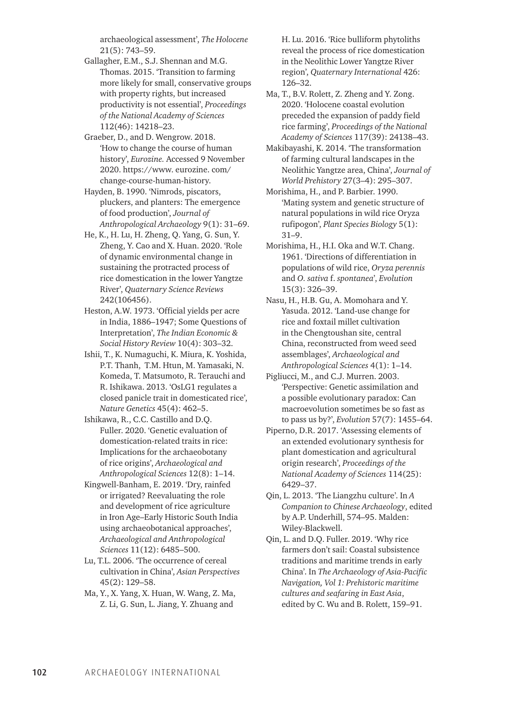archaeological assessment', *The Holocene* 21(5): 743–59.

- Gallagher, E.M., S.J. Shennan and M.G. Thomas. 2015. 'Transition to farming more likely for small, conservative groups with property rights, but increased productivity is not essential', *Proceedings of the National Academy of Sciences* 112(46): 14218–23.
- Graeber, D., and D. Wengrow. 2018. 'How to change the course of human history', *Eurozine.* Accessed 9 November 2020. [https://www. eurozine. com/](https://www.%20eurozine.%20com/change-course-human-history) [change-course-human-history](https://www.%20eurozine.%20com/change-course-human-history).
- Hayden, B. 1990. 'Nimrods, piscators, pluckers, and planters: The emergence of food production', *Journal of Anthropological Archaeology* 9(1): 31–69.
- He, K., H. Lu, H. Zheng, Q. Yang, G. Sun, Y. Zheng, Y. Cao and X. Huan. 2020. 'Role of dynamic environmental change in sustaining the protracted process of rice domestication in the lower Yangtze River', *Quaternary Science Reviews* 242(106456).
- Heston, A.W. 1973. 'Official yields per acre in India, 1886–1947; Some Questions of Interpretation', *The Indian Economic & Social History Review* 10(4): 303–32.
- Ishii, T., K. Numaguchi, K. Miura, K. Yoshida, P.T. Thanh, T.M. Htun, M. Yamasaki, N. Komeda, T. Matsumoto, R. Terauchi and R. Ishikawa. 2013. 'OsLG1 regulates a closed panicle trait in domesticated rice', *Nature Genetics* 45(4): 462–5.
- Ishikawa, R., C.C. Castillo and D.Q. Fuller. 2020. 'Genetic evaluation of domestication-related traits in rice: Implications for the archaeobotany of rice origins', *Archaeological and Anthropological Sciences* 12(8): 1–14.
- Kingwell-Banham, E. 2019. 'Dry, rainfed or irrigated? Reevaluating the role and development of rice agriculture in Iron Age–Early Historic South India using archaeobotanical approaches', *Archaeological and Anthropological Sciences* 11(12): 6485–500.
- Lu, T.L. 2006. 'The occurrence of cereal cultivation in China', *Asian Perspectives* 45(2): 129–58.
- Ma, Y., X. Yang, X. Huan, W. Wang, Z. Ma, Z. Li, G. Sun, L. Jiang, Y. Zhuang and

H. Lu. 2016. 'Rice bulliform phytoliths reveal the process of rice domestication in the Neolithic Lower Yangtze River region', *Quaternary International* 426: 126–32.

- Ma, T., B.V. Rolett, Z. Zheng and Y. Zong. 2020. 'Holocene coastal evolution preceded the expansion of paddy field rice farming', *Proceedings of the National Academy of Sciences* 117(39): 24138–43.
- Makibayashi, K. 2014. 'The transformation of farming cultural landscapes in the Neolithic Yangtze area, China', *Journal of World Prehistory* 27(3–4): 295–307.
- Morishima, H., and P. Barbier. 1990. 'Mating system and genetic structure of natural populations in wild rice Oryza rufipogon', *Plant Species Biology* 5(1): 31–9.
- Morishima, H., H.I. Oka and W.T. Chang. 1961. 'Directions of differentiation in populations of wild rice, *Oryza perennis* and *O. sativa* f. *spontanea*', *Evolution* 15(3): 326–39.
- Nasu, H., H.B. Gu, A. Momohara and Y. Yasuda. 2012. 'Land-use change for rice and foxtail millet cultivation in the Chengtoushan site, central China, reconstructed from weed seed assemblages', *Archaeological and Anthropological Sciences* 4(1): 1–14.
- Pigliucci, M., and C.J. Murren. 2003. 'Perspective: Genetic assimilation and a possible evolutionary paradox: Can macroevolution sometimes be so fast as to pass us by?', *Evolution* 57(7): 1455–64.
- Piperno, D.R. 2017. 'Assessing elements of an extended evolutionary synthesis for plant domestication and agricultural origin research', *Proceedings of the National Academy of Sciences* 114(25): 6429–37.
- Qin, L. 2013. 'The Liangzhu culture'. In *A Companion to Chinese Archaeology*, edited by A.P. Underhill, 574–95. Malden: Wiley-Blackwell.
- Qin, L. and D.Q. Fuller. 2019. 'Why rice farmers don't sail: Coastal subsistence traditions and maritime trends in early China'. In *The Archaeology of Asia-Pacific Navigation, Vol 1: Prehistoric maritime cultures and seafaring in East Asia*, edited by C. Wu and B. Rolett, 159–91.